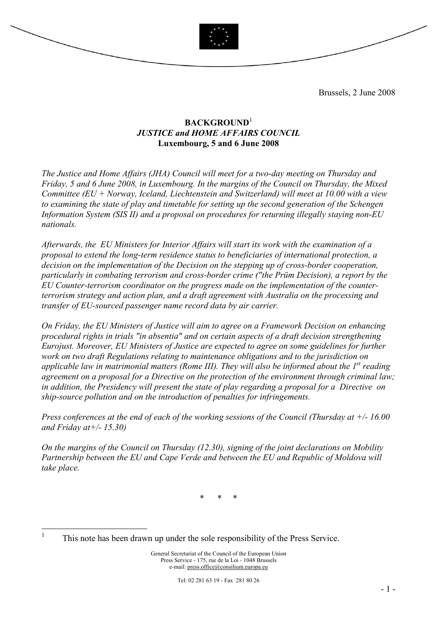

Brussels, 2 June 2008

## BACKGROUND<sup>1</sup> JUSTICE and HOME AFFAIRS COUNCIL Luxembourg, 5 and 6 June 2008

The Justice and Home Affairs (JHA) Council will meet for a two-day meeting on Thursday and Friday, 5 and 6 June 2008, in Luxembourg. In the margins of the Council on Thursday, the Mixed Committee (EU + Norway, Iceland, Liechtenstein and Switzerland) will meet at 10.00 with a view to examining the state of play and timetable for setting up the second generation of the Schengen Information System (SIS II) and a proposal on procedures for returning illegally staying non-EU nationals.

Afterwards, the EU Ministers for Interior Affairs will start its work with the examination of a proposal to extend the long-term residence status to beneficiaries of international protection, a decision on the implementation of the Decision on the stepping up of cross-border cooperation, particularly in combating terrorism and cross-border crime ("the Prüm Decision), a report by the EU Counter-terrorism coordinator on the progress made on the implementation of the counterterrorism strategy and action plan, and a draft agreement with Australia on the processing and transfer of EU-sourced passenger name record data by air carrier.

On Friday, the EU Ministers of Justice will aim to agree on a Framework Decision on enhancing procedural rights in trials "in absentia" and on certain aspects of a draft decision strengthening Eurojust. Moreover, EU Ministers of Justice are expected to agree on some guidelines for further work on two draft Regulations relating to maintenance obligations and to the jurisdiction on applicable law in matrimonial matters (Rome III). They will also be informed about the  $I<sup>st</sup>$  reading agreement on a proposal for a Directive on the protection of the environment through criminal law; in addition, the Presidency will present the state of play regarding a proposal for a Directive on ship-source pollution and on the introduction of penalties for infringements.

Press conferences at the end of each of the working sessions of the Council (Thursday at  $+/-16.00$ and Friday at  $\pm$  - 15.30)

On the margins of the Council on Thursday (12.30), signing of the joint declarations on Mobility Partnership between the EU and Cape Verde and between the EU and Republic of Moldova will take place.

\* \* \*

 $\frac{1}{1}$ This note has been drawn up under the sole responsibility of the Press Service.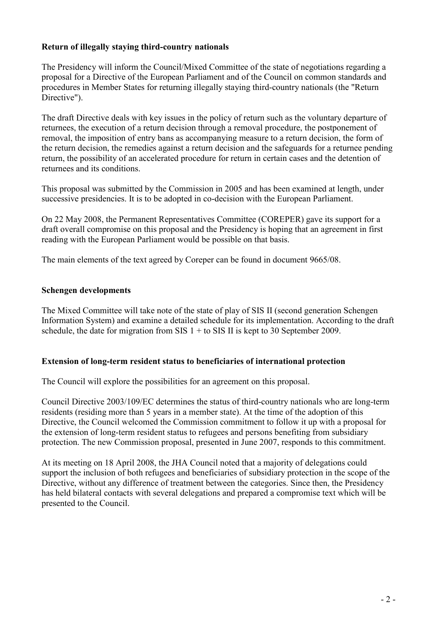### Return of illegally staying third-country nationals

The Presidency will inform the Council/Mixed Committee of the state of negotiations regarding a proposal for a Directive of the European Parliament and of the Council on common standards and procedures in Member States for returning illegally staying third-country nationals (the "Return Directive").

The draft Directive deals with key issues in the policy of return such as the voluntary departure of returnees, the execution of a return decision through a removal procedure, the postponement of removal, the imposition of entry bans as accompanying measure to a return decision, the form of the return decision, the remedies against a return decision and the safeguards for a returnee pending return, the possibility of an accelerated procedure for return in certain cases and the detention of returnees and its conditions.

This proposal was submitted by the Commission in 2005 and has been examined at length, under successive presidencies. It is to be adopted in co-decision with the European Parliament.

On 22 May 2008, the Permanent Representatives Committee (COREPER) gave its support for a draft overall compromise on this proposal and the Presidency is hoping that an agreement in first reading with the European Parliament would be possible on that basis.

The main elements of the text agreed by Coreper can be found in document 9665/08.

### Schengen developments

The Mixed Committee will take note of the state of play of SIS II (second generation Schengen Information System) and examine a detailed schedule for its implementation. According to the draft schedule, the date for migration from SIS  $1 +$  to SIS II is kept to 30 September 2009.

### Extension of long-term resident status to beneficiaries of international protection

The Council will explore the possibilities for an agreement on this proposal.

Council Directive 2003/109/EC determines the status of third-country nationals who are long-term residents (residing more than 5 years in a member state). At the time of the adoption of this Directive, the Council welcomed the Commission commitment to follow it up with a proposal for the extension of long-term resident status to refugees and persons benefiting from subsidiary protection. The new Commission proposal, presented in June 2007, responds to this commitment.

At its meeting on 18 April 2008, the JHA Council noted that a majority of delegations could support the inclusion of both refugees and beneficiaries of subsidiary protection in the scope of the Directive, without any difference of treatment between the categories. Since then, the Presidency has held bilateral contacts with several delegations and prepared a compromise text which will be presented to the Council.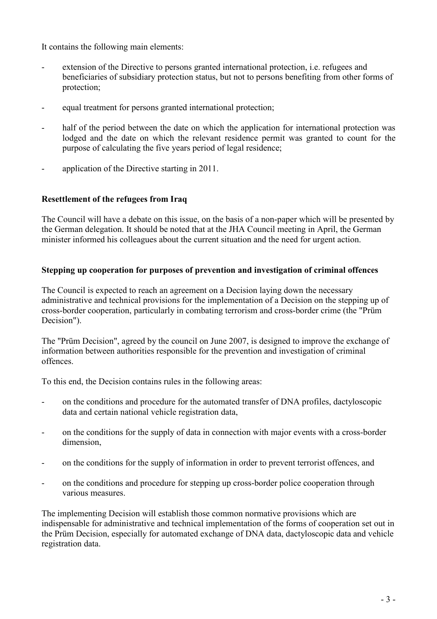It contains the following main elements:

- extension of the Directive to persons granted international protection, i.e. refugees and beneficiaries of subsidiary protection status, but not to persons benefiting from other forms of protection;
- equal treatment for persons granted international protection;
- half of the period between the date on which the application for international protection was lodged and the date on which the relevant residence permit was granted to count for the purpose of calculating the five years period of legal residence;
- application of the Directive starting in 2011.

## Resettlement of the refugees from Iraq

The Council will have a debate on this issue, on the basis of a non-paper which will be presented by the German delegation. It should be noted that at the JHA Council meeting in April, the German minister informed his colleagues about the current situation and the need for urgent action.

## Stepping up cooperation for purposes of prevention and investigation of criminal offences

The Council is expected to reach an agreement on a Decision laying down the necessary administrative and technical provisions for the implementation of a Decision on the stepping up of cross-border cooperation, particularly in combating terrorism and cross-border crime (the "Prüm Decision").

The "Prüm Decision", agreed by the council on June 2007, is designed to improve the exchange of information between authorities responsible for the prevention and investigation of criminal offences.

To this end, the Decision contains rules in the following areas:

- on the conditions and procedure for the automated transfer of DNA profiles, dactyloscopic data and certain national vehicle registration data,
- on the conditions for the supply of data in connection with major events with a cross-border dimension,
- on the conditions for the supply of information in order to prevent terrorist offences, and
- on the conditions and procedure for stepping up cross-border police cooperation through various measures.

The implementing Decision will establish those common normative provisions which are indispensable for administrative and technical implementation of the forms of cooperation set out in the Prüm Decision, especially for automated exchange of DNA data, dactyloscopic data and vehicle registration data.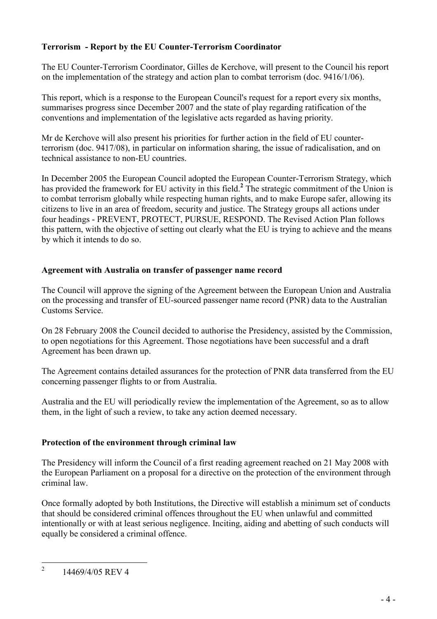## Terrorism - Report by the EU Counter-Terrorism Coordinator

The EU Counter-Terrorism Coordinator, Gilles de Kerchove, will present to the Council his report on the implementation of the strategy and action plan to combat terrorism (doc. 9416/1/06).

This report, which is a response to the European Council's request for a report every six months, summarises progress since December 2007 and the state of play regarding ratification of the conventions and implementation of the legislative acts regarded as having priority.

Mr de Kerchove will also present his priorities for further action in the field of EU counterterrorism (doc. 9417/08), in particular on information sharing, the issue of radicalisation, and on technical assistance to non-EU countries.

In December 2005 the European Council adopted the European Counter-Terrorism Strategy, which has provided the framework for EU activity in this field.<sup>2</sup> The strategic commitment of the Union is to combat terrorism globally while respecting human rights, and to make Europe safer, allowing its citizens to live in an area of freedom, security and justice. The Strategy groups all actions under four headings - PREVENT, PROTECT, PURSUE, RESPOND. The Revised Action Plan follows this pattern, with the objective of setting out clearly what the EU is trying to achieve and the means by which it intends to do so.

## Agreement with Australia on transfer of passenger name record

The Council will approve the signing of the Agreement between the European Union and Australia on the processing and transfer of EU-sourced passenger name record (PNR) data to the Australian Customs Service.

On 28 February 2008 the Council decided to authorise the Presidency, assisted by the Commission, to open negotiations for this Agreement. Those negotiations have been successful and a draft Agreement has been drawn up.

The Agreement contains detailed assurances for the protection of PNR data transferred from the EU concerning passenger flights to or from Australia.

Australia and the EU will periodically review the implementation of the Agreement, so as to allow them, in the light of such a review, to take any action deemed necessary.

### Protection of the environment through criminal law

The Presidency will inform the Council of a first reading agreement reached on 21 May 2008 with the European Parliament on a proposal for a directive on the protection of the environment through criminal law.

Once formally adopted by both Institutions, the Directive will establish a minimum set of conducts that should be considered criminal offences throughout the EU when unlawful and committed intentionally or with at least serious negligence. Inciting, aiding and abetting of such conducts will equally be considered a criminal offence.

 $\frac{1}{2}$ 14469/4/05 REV 4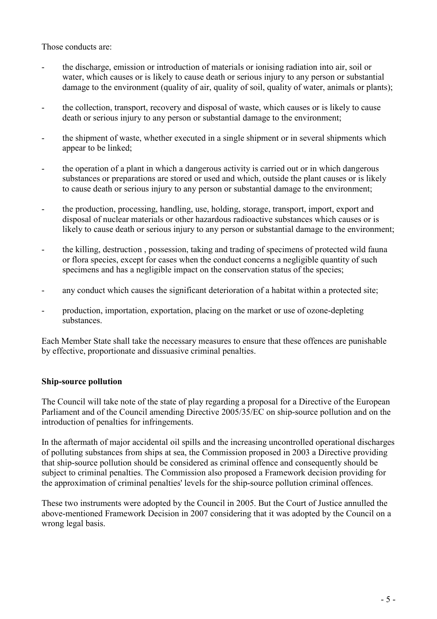Those conducts are:

- the discharge, emission or introduction of materials or ionising radiation into air, soil or water, which causes or is likely to cause death or serious injury to any person or substantial damage to the environment (quality of air, quality of soil, quality of water, animals or plants);
- the collection, transport, recovery and disposal of waste, which causes or is likely to cause death or serious injury to any person or substantial damage to the environment;
- the shipment of waste, whether executed in a single shipment or in several shipments which appear to be linked;
- the operation of a plant in which a dangerous activity is carried out or in which dangerous substances or preparations are stored or used and which, outside the plant causes or is likely to cause death or serious injury to any person or substantial damage to the environment;
- the production, processing, handling, use, holding, storage, transport, import, export and disposal of nuclear materials or other hazardous radioactive substances which causes or is likely to cause death or serious injury to any person or substantial damage to the environment;
- the killing, destruction, possession, taking and trading of specimens of protected wild fauna or flora species, except for cases when the conduct concerns a negligible quantity of such specimens and has a negligible impact on the conservation status of the species;
- any conduct which causes the significant deterioration of a habitat within a protected site;
- production, importation, exportation, placing on the market or use of ozone-depleting substances.

Each Member State shall take the necessary measures to ensure that these offences are punishable by effective, proportionate and dissuasive criminal penalties.

### Ship-source pollution

The Council will take note of the state of play regarding a proposal for a Directive of the European Parliament and of the Council amending Directive 2005/35/EC on ship-source pollution and on the introduction of penalties for infringements.

In the aftermath of major accidental oil spills and the increasing uncontrolled operational discharges of polluting substances from ships at sea, the Commission proposed in 2003 a Directive providing that ship-source pollution should be considered as criminal offence and consequently should be subject to criminal penalties. The Commission also proposed a Framework decision providing for the approximation of criminal penalties' levels for the ship-source pollution criminal offences.

These two instruments were adopted by the Council in 2005. But the Court of Justice annulled the above-mentioned Framework Decision in 2007 considering that it was adopted by the Council on a wrong legal basis.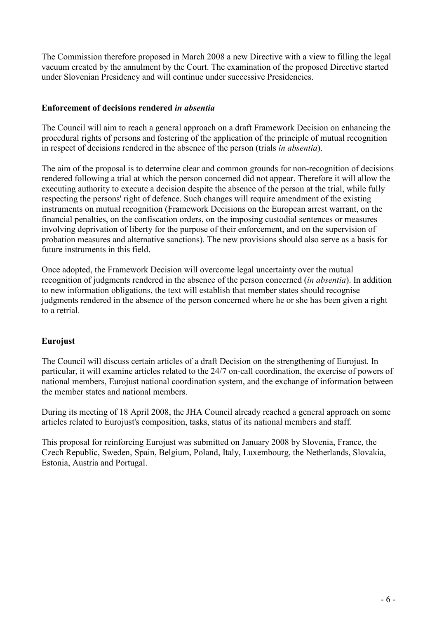The Commission therefore proposed in March 2008 a new Directive with a view to filling the legal vacuum created by the annulment by the Court. The examination of the proposed Directive started under Slovenian Presidency and will continue under successive Presidencies.

### Enforcement of decisions rendered in absentia

The Council will aim to reach a general approach on a draft Framework Decision on enhancing the procedural rights of persons and fostering of the application of the principle of mutual recognition in respect of decisions rendered in the absence of the person (trials in absentia).

The aim of the proposal is to determine clear and common grounds for non-recognition of decisions rendered following a trial at which the person concerned did not appear. Therefore it will allow the executing authority to execute a decision despite the absence of the person at the trial, while fully respecting the persons' right of defence. Such changes will require amendment of the existing instruments on mutual recognition (Framework Decisions on the European arrest warrant, on the financial penalties, on the confiscation orders, on the imposing custodial sentences or measures involving deprivation of liberty for the purpose of their enforcement, and on the supervision of probation measures and alternative sanctions). The new provisions should also serve as a basis for future instruments in this field.

Once adopted, the Framework Decision will overcome legal uncertainty over the mutual recognition of judgments rendered in the absence of the person concerned *(in absentia)*. In addition to new information obligations, the text will establish that member states should recognise judgments rendered in the absence of the person concerned where he or she has been given a right to a retrial.

### Eurojust

The Council will discuss certain articles of a draft Decision on the strengthening of Eurojust. In particular, it will examine articles related to the 24/7 on-call coordination, the exercise of powers of national members, Eurojust national coordination system, and the exchange of information between the member states and national members.

During its meeting of 18 April 2008, the JHA Council already reached a general approach on some articles related to Eurojust's composition, tasks, status of its national members and staff.

This proposal for reinforcing Eurojust was submitted on January 2008 by Slovenia, France, the Czech Republic, Sweden, Spain, Belgium, Poland, Italy, Luxembourg, the Netherlands, Slovakia, Estonia, Austria and Portugal.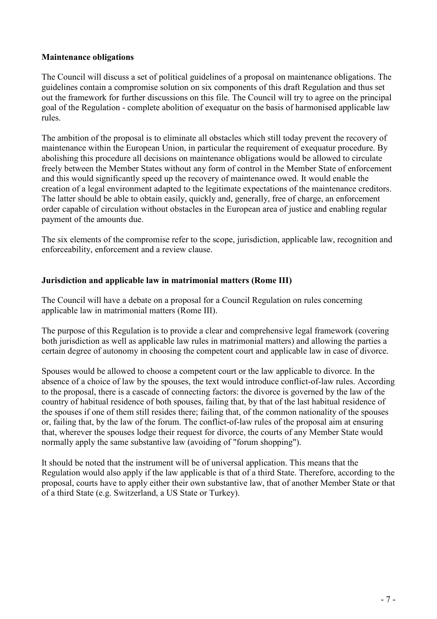### Maintenance obligations

The Council will discuss a set of political guidelines of a proposal on maintenance obligations. The guidelines contain a compromise solution on six components of this draft Regulation and thus set out the framework for further discussions on this file. The Council will try to agree on the principal goal of the Regulation - complete abolition of exequatur on the basis of harmonised applicable law rules.

The ambition of the proposal is to eliminate all obstacles which still today prevent the recovery of maintenance within the European Union, in particular the requirement of exequatur procedure. By abolishing this procedure all decisions on maintenance obligations would be allowed to circulate freely between the Member States without any form of control in the Member State of enforcement and this would significantly speed up the recovery of maintenance owed. It would enable the creation of a legal environment adapted to the legitimate expectations of the maintenance creditors. The latter should be able to obtain easily, quickly and, generally, free of charge, an enforcement order capable of circulation without obstacles in the European area of justice and enabling regular payment of the amounts due.

The six elements of the compromise refer to the scope, jurisdiction, applicable law, recognition and enforceability, enforcement and a review clause.

### Jurisdiction and applicable law in matrimonial matters (Rome III)

The Council will have a debate on a proposal for a Council Regulation on rules concerning applicable law in matrimonial matters (Rome III).

The purpose of this Regulation is to provide a clear and comprehensive legal framework (covering both jurisdiction as well as applicable law rules in matrimonial matters) and allowing the parties a certain degree of autonomy in choosing the competent court and applicable law in case of divorce.

Spouses would be allowed to choose a competent court or the law applicable to divorce. In the absence of a choice of law by the spouses, the text would introduce conflict-of-law rules. According to the proposal, there is a cascade of connecting factors: the divorce is governed by the law of the country of habitual residence of both spouses, failing that, by that of the last habitual residence of the spouses if one of them still resides there; failing that, of the common nationality of the spouses or, failing that, by the law of the forum. The conflict-of-law rules of the proposal aim at ensuring that, wherever the spouses lodge their request for divorce, the courts of any Member State would normally apply the same substantive law (avoiding of "forum shopping").

It should be noted that the instrument will be of universal application. This means that the Regulation would also apply if the law applicable is that of a third State. Therefore, according to the proposal, courts have to apply either their own substantive law, that of another Member State or that of a third State (e.g. Switzerland, a US State or Turkey).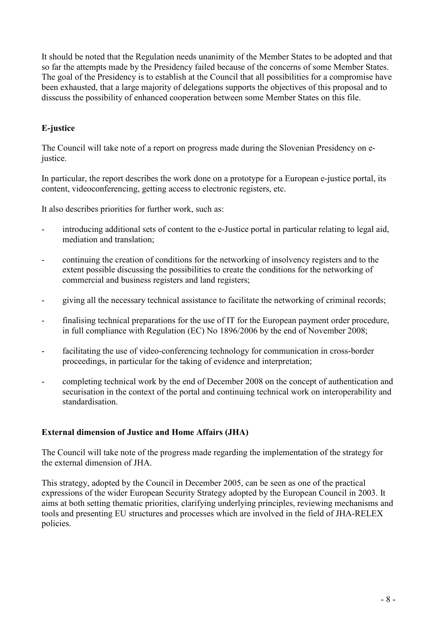It should be noted that the Regulation needs unanimity of the Member States to be adopted and that so far the attempts made by the Presidency failed because of the concerns of some Member States. The goal of the Presidency is to establish at the Council that all possibilities for a compromise have been exhausted, that a large majority of delegations supports the objectives of this proposal and to disscuss the possibility of enhanced cooperation between some Member States on this file.

# E-justice

The Council will take note of a report on progress made during the Slovenian Presidency on ejustice.

In particular, the report describes the work done on a prototype for a European e-justice portal, its content, videoconferencing, getting access to electronic registers, etc.

It also describes priorities for further work, such as:

- introducing additional sets of content to the e-Justice portal in particular relating to legal aid, mediation and translation;
- continuing the creation of conditions for the networking of insolvency registers and to the extent possible discussing the possibilities to create the conditions for the networking of commercial and business registers and land registers;
- giving all the necessary technical assistance to facilitate the networking of criminal records;
- finalising technical preparations for the use of IT for the European payment order procedure, in full compliance with Regulation (EC) No 1896/2006 by the end of November 2008;
- facilitating the use of video-conferencing technology for communication in cross-border proceedings, in particular for the taking of evidence and interpretation;
- completing technical work by the end of December 2008 on the concept of authentication and securisation in the context of the portal and continuing technical work on interoperability and standardisation.

### External dimension of Justice and Home Affairs (JHA)

The Council will take note of the progress made regarding the implementation of the strategy for the external dimension of JHA.

This strategy, adopted by the Council in December 2005, can be seen as one of the practical expressions of the wider European Security Strategy adopted by the European Council in 2003. It aims at both setting thematic priorities, clarifying underlying principles, reviewing mechanisms and tools and presenting EU structures and processes which are involved in the field of JHA-RELEX policies.